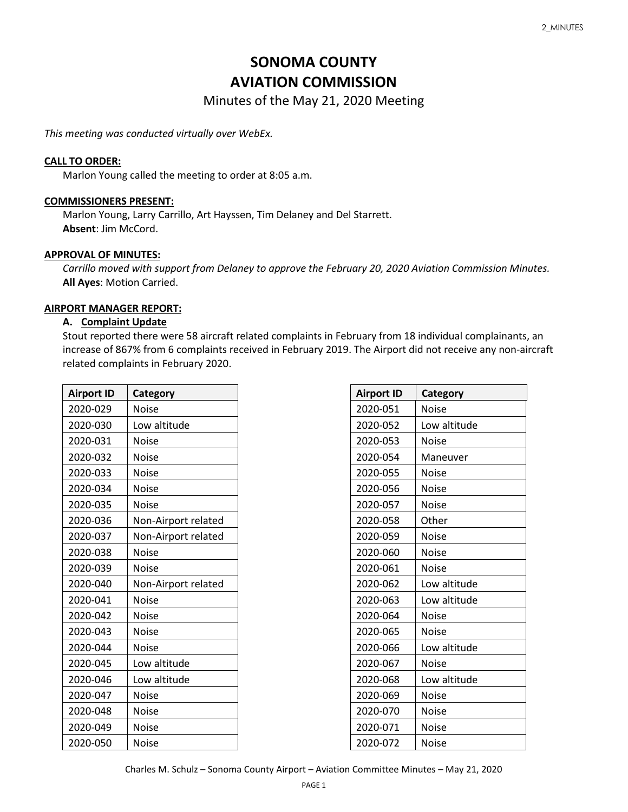# **SONOMA COUNTY AVIATION COMMISSION**

Minutes of the May 21, 2020 Meeting

*This meeting was conducted virtually over WebEx.*

#### **CALL TO ORDER:**

Marlon Young called the meeting to order at 8:05 a.m.

#### **COMMISSIONERS PRESENT:**

Marlon Young, Larry Carrillo, Art Hayssen, Tim Delaney and Del Starrett. **Absent**: Jim McCord.

#### **APPROVAL OF MINUTES:**

*Carrillo moved with support from Delaney to approve the February 20, 2020 Aviation Commission Minutes.*  **All Ayes**: Motion Carried.

#### **AIRPORT MANAGER REPORT:**

#### **A. Complaint Update**

Stout reported there were 58 aircraft related complaints in February from 18 individual complainants, an increase of 867% from 6 complaints received in February 2019. The Airport did not receive any non-aircraft related complaints in February 2020.

| <b>Airport ID</b> | <b>Category</b>     |
|-------------------|---------------------|
| 2020-029          | <b>Noise</b>        |
| 2020-030          | Low altitude        |
| 2020-031          | Noise               |
| 2020-032          | Noise               |
| 2020-033          | <b>Noise</b>        |
| 2020-034          | Noise               |
| 2020-035          | Noise               |
| 2020-036          | Non-Airport related |
| 2020-037          | Non-Airport related |
| 2020-038          | <b>Noise</b>        |
| 2020-039          | Noise               |
| 2020-040          | Non-Airport related |
| 2020-041          | <b>Noise</b>        |
| 2020-042          | Noise               |
| 2020-043          | Noise               |
| 2020-044          | Noise               |
| 2020-045          | Low altitude        |
| 2020-046          | Low altitude        |
| 2020-047          | Noise               |
| 2020-048          | <b>Noise</b>        |
| 2020-049          | <b>Noise</b>        |
| 2020-050          | Noise               |

| <b>Airport ID</b> | Category     |  |
|-------------------|--------------|--|
| 2020-051          | Noise        |  |
| 2020-052          | Low altitude |  |
| 2020-053          | <b>Noise</b> |  |
| 2020-054          | Maneuver     |  |
| 2020-055          | Noise        |  |
| 2020-056          | <b>Noise</b> |  |
| 2020-057          | <b>Noise</b> |  |
| 2020-058          | Other        |  |
| 2020-059          | Noise        |  |
| 2020-060          | Noise        |  |
| 2020-061          | Noise        |  |
| 2020-062          | Low altitude |  |
| 2020-063          | Low altitude |  |
| 2020-064          | <b>Noise</b> |  |
| 2020-065          | <b>Noise</b> |  |
| 2020-066          | Low altitude |  |
| 2020-067          | Noise        |  |
| 2020-068          | Low altitude |  |
| 2020-069          | <b>Noise</b> |  |
| 2020-070          | <b>Noise</b> |  |
| 2020-071          | Noise        |  |
| 2020-072          | <b>Noise</b> |  |

Charles M. Schulz – Sonoma County Airport – Aviation Committee Minutes – May 21, 2020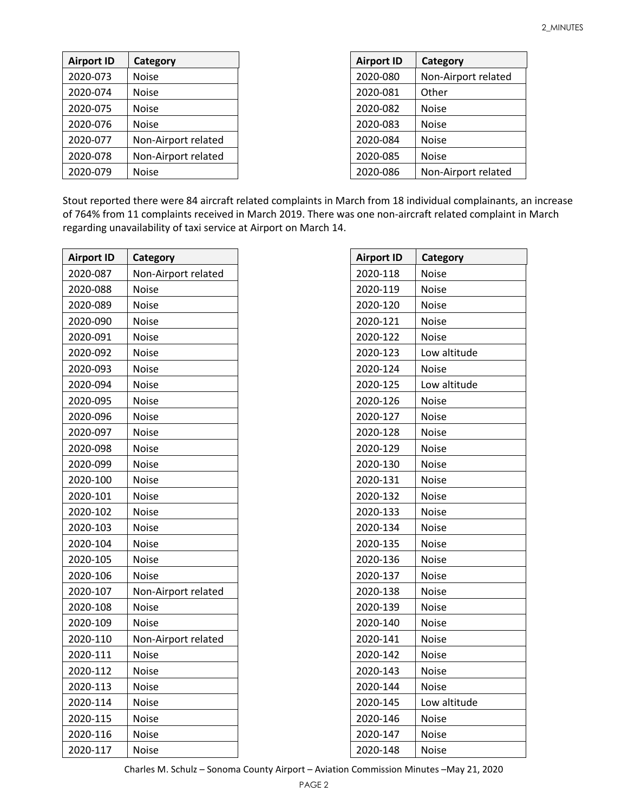| <b>Airport ID</b> | Category            | <b>Airport ID</b> | Category            |
|-------------------|---------------------|-------------------|---------------------|
| 2020-073          | <b>Noise</b>        | 2020-080          | Non-Airport related |
| 2020-074          | <b>Noise</b>        | 2020-081          | Other               |
| 2020-075          | <b>Noise</b>        | 2020-082          | <b>Noise</b>        |
| 2020-076          | <b>Noise</b>        | 2020-083          | <b>Noise</b>        |
| 2020-077          | Non-Airport related | 2020-084          | <b>Noise</b>        |
| 2020-078          | Non-Airport related | 2020-085          | <b>Noise</b>        |
| 2020-079          | <b>Noise</b>        | 2020-086          | Non-Airport related |

Stout reported there were 84 aircraft related complaints in March from 18 individual complainants, an increase of 764% from 11 complaints received in March 2019. There was one non-aircraft related complaint in March regarding unavailability of taxi service at Airport on March 14.

| <b>Airport ID</b> | Category            |
|-------------------|---------------------|
| 2020-087          | Non-Airport related |
| 2020-088          | <b>Noise</b>        |
| 2020-089          | <b>Noise</b>        |
| 2020-090          | Noise               |
| 2020-091          | Noise               |
| 2020-092          | Noise               |
| 2020-093          | Noise               |
| 2020-094          | <b>Noise</b>        |
| 2020-095          | Noise               |
| 2020-096          | Noise               |
| 2020-097          | Noise               |
| 2020-098          | Noise               |
| 2020-099          | Noise               |
| 2020-100          | <b>Noise</b>        |
| 2020-101          | <b>Noise</b>        |
| 2020-102          | Noise               |
| 2020-103          | Noise               |
| 2020-104          | Noise               |
| 2020-105          | Noise               |
| 2020-106          | Noise               |
| 2020-107          | Non-Airport related |
| 2020-108          | Noise               |
| 2020-109          | Noise               |
| 2020-110          | Non-Airport related |
| 2020-111          | Noise               |
| 2020-112          | Noise               |
| 2020-113          | Noise               |
| 2020-114          | Noise               |
| 2020-115          | Noise               |
| 2020-116          | Noise               |
| 2020-117          | Noise               |

| <b>Airport ID</b> | Category     |
|-------------------|--------------|
| 2020-118          | Noise        |
| 2020-119          | Noise        |
| 2020-120          | <b>Noise</b> |
| 2020-121          | Noise        |
| 2020-122          | <b>Noise</b> |
| 2020-123          | Low altitude |
| 2020-124          | <b>Noise</b> |
| 2020-125          | Low altitude |
| 2020-126          | <b>Noise</b> |
| 2020-127          | <b>Noise</b> |
| 2020-128          | Noise        |
| 2020-129          | <b>Noise</b> |
| 2020-130          | <b>Noise</b> |
| 2020-131          | <b>Noise</b> |
| 2020-132          | Noise        |
| 2020-133          | <b>Noise</b> |
| 2020-134          | Noise        |
| 2020-135          | <b>Noise</b> |
| 2020-136          | <b>Noise</b> |
| 2020-137          | <b>Noise</b> |
| 2020-138          | <b>Noise</b> |
| 2020-139          | <b>Noise</b> |
| 2020-140          | Noise        |
| 2020-141          | <b>Noise</b> |
| 2020-142          | <b>Noise</b> |
| 2020-143          | Noise        |
| 2020-144          | Noise        |
| 2020-145          | Low altitude |
| 2020-146          | Noise        |
| 2020-147          | Noise        |
| 2020-148          | Noise        |

Charles M. Schulz – Sonoma County Airport – Aviation Commission Minutes –May 21, 2020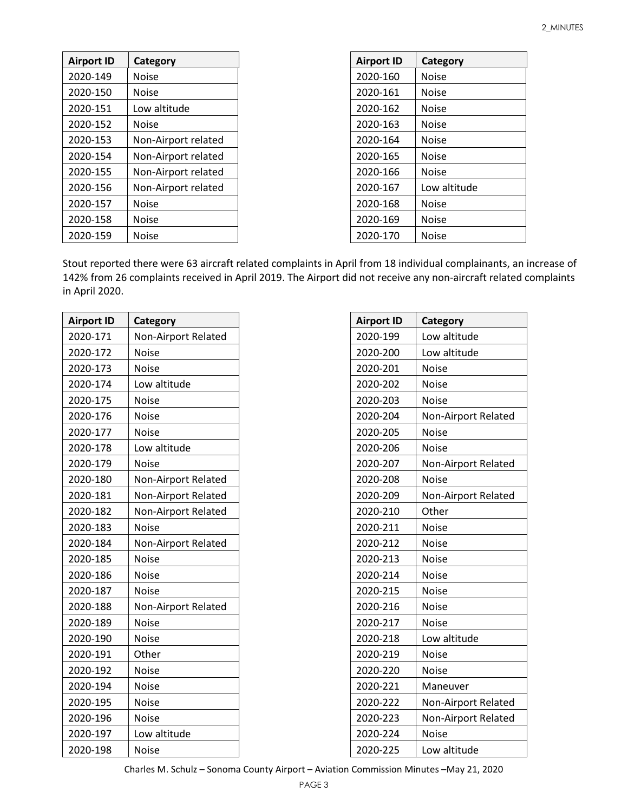| <b>Airport ID</b> | Category            |
|-------------------|---------------------|
| 2020-149          | Noise               |
| 2020-150          | Noise               |
| 2020-151          | Low altitude        |
| 2020-152          | Noise               |
| 2020-153          | Non-Airport related |
| 2020-154          | Non-Airport related |
| 2020-155          | Non-Airport related |
| 2020-156          | Non-Airport related |
| 2020-157          | Noise               |
| 2020-158          | Noise               |
| 2020-159          | Noise               |

| <b>Airport ID</b> | Category     |
|-------------------|--------------|
| 2020-160          | Noise        |
| 2020-161          | <b>Noise</b> |
| 2020-162          | <b>Noise</b> |
| 2020-163          | <b>Noise</b> |
| 2020-164          | <b>Noise</b> |
| 2020-165          | <b>Noise</b> |
| 2020-166          | <b>Noise</b> |
| 2020-167          | Low altitude |
| 2020-168          | <b>Noise</b> |
| 2020-169          | <b>Noise</b> |
| 2020-170          | Noise        |

Stout reported there were 63 aircraft related complaints in April from 18 individual complainants, an increase of 142% from 26 complaints received in April 2019. The Airport did not receive any non-aircraft related complaints in April 2020.

| <b>Airport ID</b> | Category            |
|-------------------|---------------------|
| 2020-171          | Non-Airport Related |
| 2020-172          | <b>Noise</b>        |
| 2020-173          | <b>Noise</b>        |
| 2020-174          | Low altitude        |
| 2020-175          | <b>Noise</b>        |
| 2020-176          | <b>Noise</b>        |
| 2020-177          | <b>Noise</b>        |
| 2020-178          | Low altitude        |
| 2020-179          | <b>Noise</b>        |
| 2020-180          | Non-Airport Related |
| 2020-181          | Non-Airport Related |
| 2020-182          | Non-Airport Related |
| 2020-183          | <b>Noise</b>        |
| 2020-184          | Non-Airport Related |
| 2020-185          | <b>Noise</b>        |
| 2020-186          | <b>Noise</b>        |
| 2020-187          | <b>Noise</b>        |
| 2020-188          | Non-Airport Related |
| 2020-189          | <b>Noise</b>        |
| 2020-190          | <b>Noise</b>        |
| 2020-191          | Other               |
| 2020-192          | <b>Noise</b>        |
| 2020-194          | Noise               |
| 2020-195          | <b>Noise</b>        |
| 2020-196          | <b>Noise</b>        |
| 2020-197          | Low altitude        |
| 2020-198          | <b>Noise</b>        |

| <b>Airport ID</b> | Category            |
|-------------------|---------------------|
| 2020-199          | Low altitude        |
| 2020-200          | Low altitude        |
| 2020-201          | Noise               |
| 2020-202          | Noise               |
| 2020-203          | <b>Noise</b>        |
| 2020-204          | Non-Airport Related |
| 2020-205          | Noise               |
| 2020-206          | Noise               |
| 2020-207          | Non-Airport Related |
| 2020-208          | <b>Noise</b>        |
| 2020-209          | Non-Airport Related |
| 2020-210          | Other               |
| 2020-211          | <b>Noise</b>        |
| 2020-212          | <b>Noise</b>        |
| 2020-213          | Noise               |
| 2020-214          | Noise               |
| 2020-215          | Noise               |
| 2020-216          | <b>Noise</b>        |
| 2020-217          | <b>Noise</b>        |
| 2020-218          | Low altitude        |
| 2020-219          | <b>Noise</b>        |
| 2020-220          | Noise               |
| 2020-221          | Maneuver            |
| 2020-222          | Non-Airport Related |
| 2020-223          | Non-Airport Related |
| 2020-224          | <b>Noise</b>        |
| 2020-225          | Low altitude        |

Charles M. Schulz – Sonoma County Airport – Aviation Commission Minutes –May 21, 2020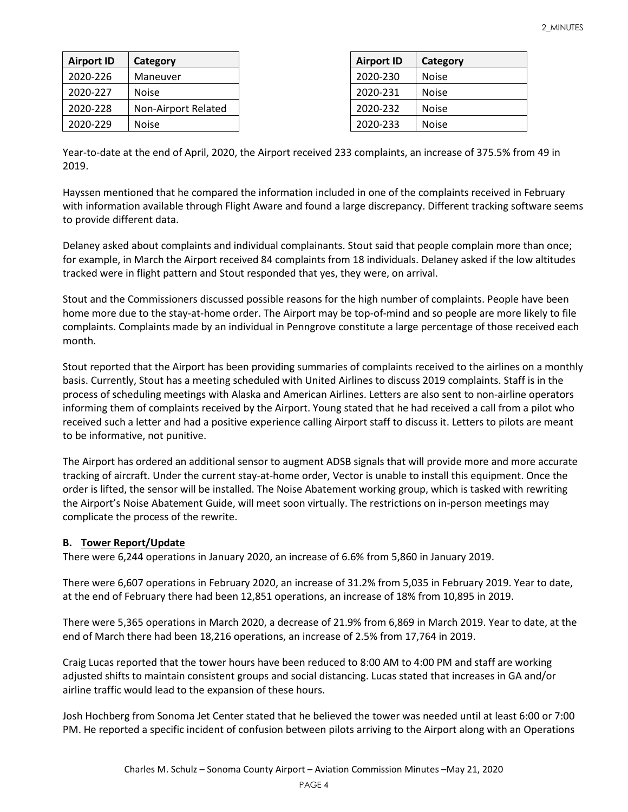| <b>Airport ID</b> | Category            | <b>Airport ID</b> | Category |
|-------------------|---------------------|-------------------|----------|
| 2020-226          | Maneuver            | 2020-230          | Noise    |
| 2020-227          | <b>Noise</b>        | 2020-231          | Noise    |
| 2020-228          | Non-Airport Related | 2020-232          | Noise    |
| 2020-229          | <b>Noise</b>        | 2020-233          | Noise    |

Year-to-date at the end of April, 2020, the Airport received 233 complaints, an increase of 375.5% from 49 in 2019.

Hayssen mentioned that he compared the information included in one of the complaints received in February with information available through Flight Aware and found a large discrepancy. Different tracking software seems to provide different data.

Delaney asked about complaints and individual complainants. Stout said that people complain more than once; for example, in March the Airport received 84 complaints from 18 individuals. Delaney asked if the low altitudes tracked were in flight pattern and Stout responded that yes, they were, on arrival.

Stout and the Commissioners discussed possible reasons for the high number of complaints. People have been home more due to the stay-at-home order. The Airport may be top-of-mind and so people are more likely to file complaints. Complaints made by an individual in Penngrove constitute a large percentage of those received each month.

Stout reported that the Airport has been providing summaries of complaints received to the airlines on a monthly basis. Currently, Stout has a meeting scheduled with United Airlines to discuss 2019 complaints. Staff is in the process of scheduling meetings with Alaska and American Airlines. Letters are also sent to non-airline operators informing them of complaints received by the Airport. Young stated that he had received a call from a pilot who received such a letter and had a positive experience calling Airport staff to discuss it. Letters to pilots are meant to be informative, not punitive.

The Airport has ordered an additional sensor to augment ADSB signals that will provide more and more accurate tracking of aircraft. Under the current stay-at-home order, Vector is unable to install this equipment. Once the order is lifted, the sensor will be installed. The Noise Abatement working group, which is tasked with rewriting the Airport's Noise Abatement Guide, will meet soon virtually. The restrictions on in-person meetings may complicate the process of the rewrite.

## **B. Tower Report/Update**

There were 6,244 operations in January 2020, an increase of 6.6% from 5,860 in January 2019.

There were 6,607 operations in February 2020, an increase of 31.2% from 5,035 in February 2019. Year to date, at the end of February there had been 12,851 operations, an increase of 18% from 10,895 in 2019.

There were 5,365 operations in March 2020, a decrease of 21.9% from 6,869 in March 2019. Year to date, at the end of March there had been 18,216 operations, an increase of 2.5% from 17,764 in 2019.

Craig Lucas reported that the tower hours have been reduced to 8:00 AM to 4:00 PM and staff are working adjusted shifts to maintain consistent groups and social distancing. Lucas stated that increases in GA and/or airline traffic would lead to the expansion of these hours.

Josh Hochberg from Sonoma Jet Center stated that he believed the tower was needed until at least 6:00 or 7:00 PM. He reported a specific incident of confusion between pilots arriving to the Airport along with an Operations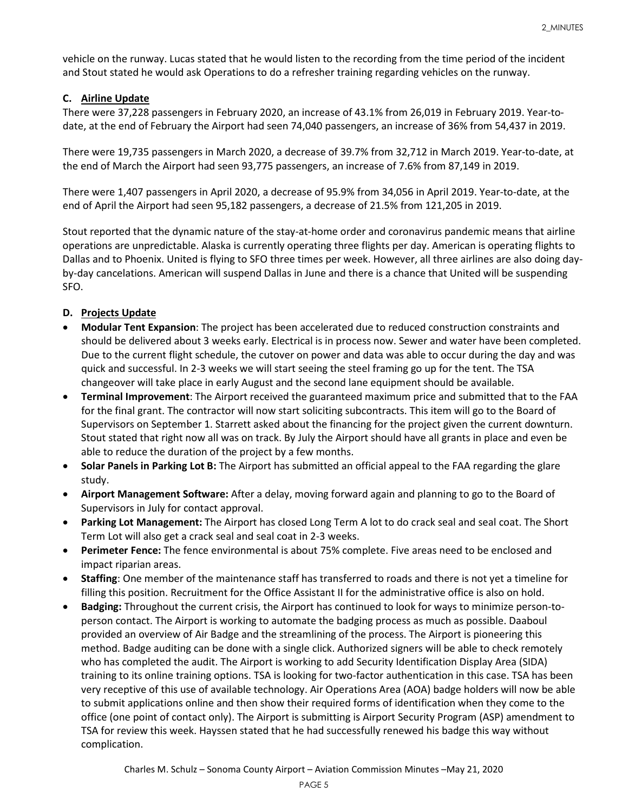vehicle on the runway. Lucas stated that he would listen to the recording from the time period of the incident and Stout stated he would ask Operations to do a refresher training regarding vehicles on the runway.

## **C. Airline Update**

There were 37,228 passengers in February 2020, an increase of 43.1% from 26,019 in February 2019. Year-todate, at the end of February the Airport had seen 74,040 passengers, an increase of 36% from 54,437 in 2019.

There were 19,735 passengers in March 2020, a decrease of 39.7% from 32,712 in March 2019. Year-to-date, at the end of March the Airport had seen 93,775 passengers, an increase of 7.6% from 87,149 in 2019.

There were 1,407 passengers in April 2020, a decrease of 95.9% from 34,056 in April 2019. Year-to-date, at the end of April the Airport had seen 95,182 passengers, a decrease of 21.5% from 121,205 in 2019.

Stout reported that the dynamic nature of the stay-at-home order and coronavirus pandemic means that airline operations are unpredictable. Alaska is currently operating three flights per day. American is operating flights to Dallas and to Phoenix. United is flying to SFO three times per week. However, all three airlines are also doing dayby-day cancelations. American will suspend Dallas in June and there is a chance that United will be suspending SFO.

# **D. Projects Update**

- **Modular Tent Expansion**: The project has been accelerated due to reduced construction constraints and should be delivered about 3 weeks early. Electrical is in process now. Sewer and water have been completed. Due to the current flight schedule, the cutover on power and data was able to occur during the day and was quick and successful. In 2-3 weeks we will start seeing the steel framing go up for the tent. The TSA changeover will take place in early August and the second lane equipment should be available.
- **Terminal Improvement**: The Airport received the guaranteed maximum price and submitted that to the FAA for the final grant. The contractor will now start soliciting subcontracts. This item will go to the Board of Supervisors on September 1. Starrett asked about the financing for the project given the current downturn. Stout stated that right now all was on track. By July the Airport should have all grants in place and even be able to reduce the duration of the project by a few months.
- **Solar Panels in Parking Lot B:** The Airport has submitted an official appeal to the FAA regarding the glare study.
- **Airport Management Software:** After a delay, moving forward again and planning to go to the Board of Supervisors in July for contact approval.
- **Parking Lot Management:** The Airport has closed Long Term A lot to do crack seal and seal coat. The Short Term Lot will also get a crack seal and seal coat in 2-3 weeks.
- **Perimeter Fence:** The fence environmental is about 75% complete. Five areas need to be enclosed and impact riparian areas.
- **Staffing**: One member of the maintenance staff has transferred to roads and there is not yet a timeline for filling this position. Recruitment for the Office Assistant II for the administrative office is also on hold.
- **Badging:** Throughout the current crisis, the Airport has continued to look for ways to minimize person-toperson contact. The Airport is working to automate the badging process as much as possible. Daaboul provided an overview of Air Badge and the streamlining of the process. The Airport is pioneering this method. Badge auditing can be done with a single click. Authorized signers will be able to check remotely who has completed the audit. The Airport is working to add Security Identification Display Area (SIDA) training to its online training options. TSA is looking for two-factor authentication in this case. TSA has been very receptive of this use of available technology. Air Operations Area (AOA) badge holders will now be able to submit applications online and then show their required forms of identification when they come to the office (one point of contact only). The Airport is submitting is Airport Security Program (ASP) amendment to TSA for review this week. Hayssen stated that he had successfully renewed his badge this way without complication.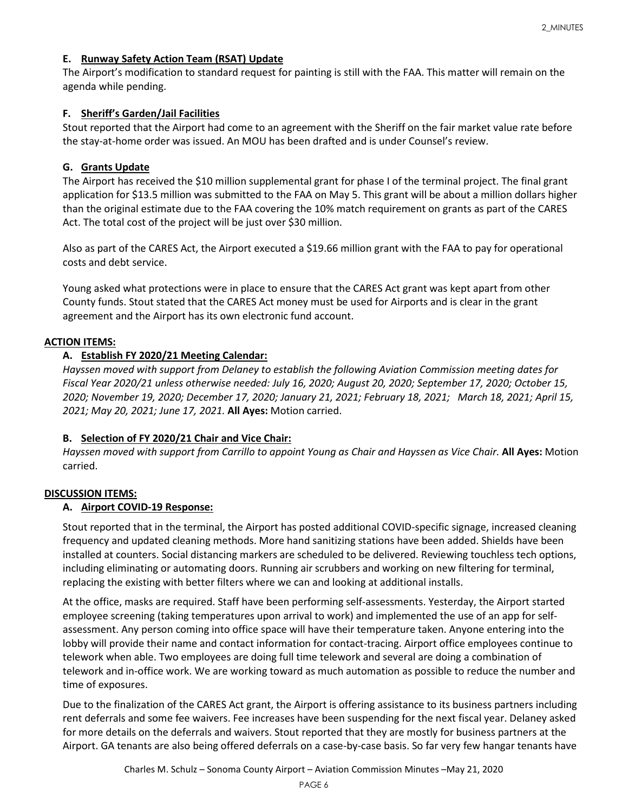## **E. Runway Safety Action Team (RSAT) Update**

The Airport's modification to standard request for painting is still with the FAA. This matter will remain on the agenda while pending.

## **F. Sheriff's Garden/Jail Facilities**

Stout reported that the Airport had come to an agreement with the Sheriff on the fair market value rate before the stay-at-home order was issued. An MOU has been drafted and is under Counsel's review.

## **G. Grants Update**

The Airport has received the \$10 million supplemental grant for phase I of the terminal project. The final grant application for \$13.5 million was submitted to the FAA on May 5. This grant will be about a million dollars higher than the original estimate due to the FAA covering the 10% match requirement on grants as part of the CARES Act. The total cost of the project will be just over \$30 million.

Also as part of the CARES Act, the Airport executed a \$19.66 million grant with the FAA to pay for operational costs and debt service.

Young asked what protections were in place to ensure that the CARES Act grant was kept apart from other County funds. Stout stated that the CARES Act money must be used for Airports and is clear in the grant agreement and the Airport has its own electronic fund account.

## **ACTION ITEMS:**

## **A. Establish FY 2020/21 Meeting Calendar:**

*Hayssen moved with support from Delaney to establish the following Aviation Commission meeting dates for Fiscal Year 2020/21 unless otherwise needed: July 16, 2020; August 20, 2020; September 17, 2020; October 15, 2020; November 19, 2020; December 17, 2020; January 21, 2021; February 18, 2021; March 18, 2021; April 15, 2021; May 20, 2021; June 17, 2021.* **All Ayes:** Motion carried.

## **B. Selection of FY 2020/21 Chair and Vice Chair:**

*Hayssen moved with support from Carrillo to appoint Young as Chair and Hayssen as Vice Chair.* **All Ayes:** Motion carried.

## **DISCUSSION ITEMS:**

## **A. Airport COVID-19 Response:**

Stout reported that in the terminal, the Airport has posted additional COVID-specific signage, increased cleaning frequency and updated cleaning methods. More hand sanitizing stations have been added. Shields have been installed at counters. Social distancing markers are scheduled to be delivered. Reviewing touchless tech options, including eliminating or automating doors. Running air scrubbers and working on new filtering for terminal, replacing the existing with better filters where we can and looking at additional installs.

At the office, masks are required. Staff have been performing self-assessments. Yesterday, the Airport started employee screening (taking temperatures upon arrival to work) and implemented the use of an app for selfassessment. Any person coming into office space will have their temperature taken. Anyone entering into the lobby will provide their name and contact information for contact-tracing. Airport office employees continue to telework when able. Two employees are doing full time telework and several are doing a combination of telework and in-office work. We are working toward as much automation as possible to reduce the number and time of exposures.

Due to the finalization of the CARES Act grant, the Airport is offering assistance to its business partners including rent deferrals and some fee waivers. Fee increases have been suspending for the next fiscal year. Delaney asked for more details on the deferrals and waivers. Stout reported that they are mostly for business partners at the Airport. GA tenants are also being offered deferrals on a case-by-case basis. So far very few hangar tenants have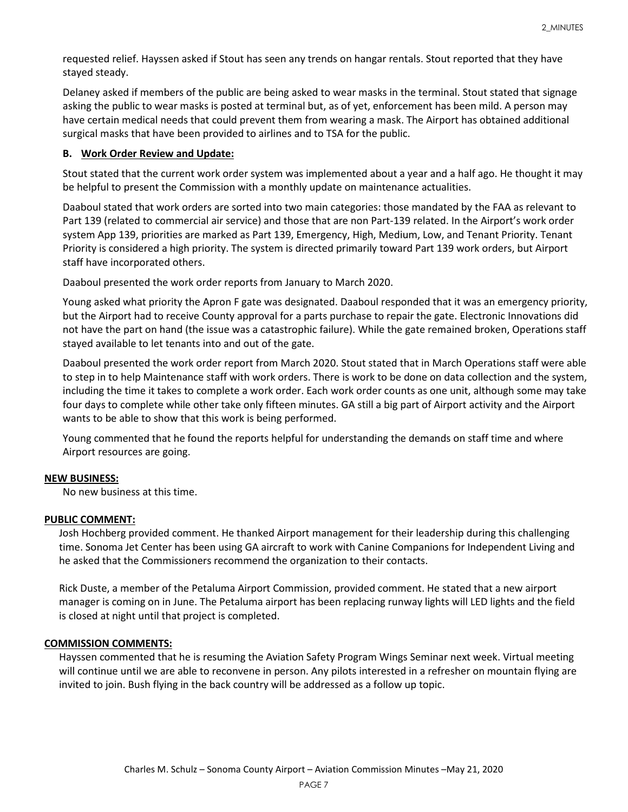requested relief. Hayssen asked if Stout has seen any trends on hangar rentals. Stout reported that they have stayed steady.

Delaney asked if members of the public are being asked to wear masks in the terminal. Stout stated that signage asking the public to wear masks is posted at terminal but, as of yet, enforcement has been mild. A person may have certain medical needs that could prevent them from wearing a mask. The Airport has obtained additional surgical masks that have been provided to airlines and to TSA for the public.

#### **B. Work Order Review and Update:**

Stout stated that the current work order system was implemented about a year and a half ago. He thought it may be helpful to present the Commission with a monthly update on maintenance actualities.

Daaboul stated that work orders are sorted into two main categories: those mandated by the FAA as relevant to Part 139 (related to commercial air service) and those that are non Part-139 related. In the Airport's work order system App 139, priorities are marked as Part 139, Emergency, High, Medium, Low, and Tenant Priority. Tenant Priority is considered a high priority. The system is directed primarily toward Part 139 work orders, but Airport staff have incorporated others.

Daaboul presented the work order reports from January to March 2020.

Young asked what priority the Apron F gate was designated. Daaboul responded that it was an emergency priority, but the Airport had to receive County approval for a parts purchase to repair the gate. Electronic Innovations did not have the part on hand (the issue was a catastrophic failure). While the gate remained broken, Operations staff stayed available to let tenants into and out of the gate.

Daaboul presented the work order report from March 2020. Stout stated that in March Operations staff were able to step in to help Maintenance staff with work orders. There is work to be done on data collection and the system, including the time it takes to complete a work order. Each work order counts as one unit, although some may take four days to complete while other take only fifteen minutes. GA still a big part of Airport activity and the Airport wants to be able to show that this work is being performed.

Young commented that he found the reports helpful for understanding the demands on staff time and where Airport resources are going.

## **NEW BUSINESS:**

No new business at this time.

#### **PUBLIC COMMENT:**

Josh Hochberg provided comment. He thanked Airport management for their leadership during this challenging time. Sonoma Jet Center has been using GA aircraft to work with Canine Companions for Independent Living and he asked that the Commissioners recommend the organization to their contacts.

Rick Duste, a member of the Petaluma Airport Commission, provided comment. He stated that a new airport manager is coming on in June. The Petaluma airport has been replacing runway lights will LED lights and the field is closed at night until that project is completed.

#### **COMMISSION COMMENTS:**

Hayssen commented that he is resuming the Aviation Safety Program Wings Seminar next week. Virtual meeting will continue until we are able to reconvene in person. Any pilots interested in a refresher on mountain flying are invited to join. Bush flying in the back country will be addressed as a follow up topic.